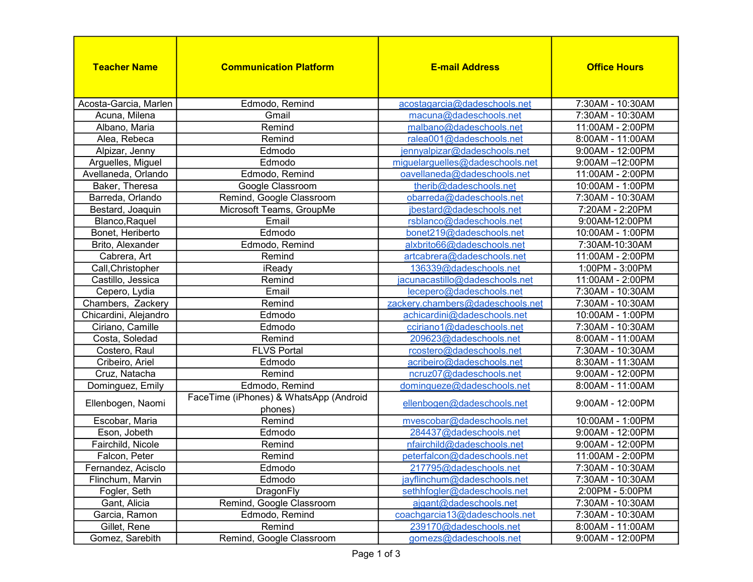| <b>Teacher Name</b>   | <b>Communication Platform</b>                     | <b>E-mail Address</b>            | <b>Office Hours</b> |
|-----------------------|---------------------------------------------------|----------------------------------|---------------------|
| Acosta-Garcia, Marlen | Edmodo, Remind                                    | acostagarcia@dadeschools.net     | 7:30AM - 10:30AM    |
| Acuna, Milena         | Gmail                                             | macuna@dadeschools.net           | 7:30AM - 10:30AM    |
| Albano, Maria         | Remind                                            | malbano@dadeschools.net          | 11:00AM - 2:00PM    |
| Alea, Rebeca          | Remind                                            | ralea001@dadeschools.net         | 8:00AM - 11:00AM    |
| Alpizar, Jenny        | Edmodo                                            | jennyalpizar@dadeschools.net     | 9:00AM - 12:00PM    |
| Arguelles, Miguel     | Edmodo                                            | miguelarguelles@dadeschools.net  | 9:00AM-12:00PM      |
| Avellaneda, Orlando   | Edmodo, Remind                                    | oavellaneda@dadeschools.net      | 11:00AM - 2:00PM    |
| Baker, Theresa        | Google Classroom                                  | therib@dadeschools.net           | 10:00AM - 1:00PM    |
| Barreda, Orlando      | Remind, Google Classroom                          | obarreda@dadeschools.net         | 7:30AM - 10:30AM    |
| Bestard, Joaquin      | Microsoft Teams, GroupMe                          | jbestard@dadeschools.net         | 7:20AM - 2:20PM     |
| Blanco, Raquel        | Email                                             | rsblanco@dadeschools.net         | 9:00AM-12:00PM      |
| Bonet, Heriberto      | Edmodo                                            | bonet219@dadeschools.net         | 10:00AM - 1:00PM    |
| Brito, Alexander      | Edmodo, Remind                                    | alxbrito66@dadeschools.net       | 7:30AM-10:30AM      |
| Cabrera, Art          | Remind                                            | artcabrera@dadeschools.net       | 11:00AM - 2:00PM    |
| Call, Christopher     | iReady                                            | 136339@dadeschools.net           | 1:00PM - 3:00PM     |
| Castillo, Jessica     | Remind                                            | jacunacastillo@dadeschools.net   | 11:00AM - 2:00PM    |
| Cepero, Lydia         | Email                                             | lecepero@dadeschools.net         | 7:30AM - 10:30AM    |
| Chambers, Zackery     | Remind                                            | zackery.chambers@dadeschools.net | 7:30AM - 10:30AM    |
| Chicardini, Alejandro | Edmodo                                            | achicardini@dadeschools.net      | 10:00AM - 1:00PM    |
| Ciriano, Camille      | Edmodo                                            | cciriano1@dadeschools.net        | 7:30AM - 10:30AM    |
| Costa, Soledad        | Remind                                            | 209623@dadeschools.net           | 8:00AM - 11:00AM    |
| Costero, Raul         | <b>FLVS Portal</b>                                | rcostero@dadeschools.net         | 7:30AM - 10:30AM    |
| Cribeiro, Ariel       | Edmodo                                            | acribeiro@dadeschools.net        | 8:30AM - 11:30AM    |
| Cruz, Natacha         | Remind                                            | ncruz07@dadeschools.net          | 9:00AM - 12:00PM    |
| Dominguez, Emily      | Edmodo, Remind                                    | domingueze@dadeschools.net       | 8:00AM - 11:00AM    |
| Ellenbogen, Naomi     | FaceTime (iPhones) & WhatsApp (Android<br>phones) | ellenbogen@dadeschools.net       | 9:00AM - 12:00PM    |
| Escobar, Maria        | Remind                                            | mvescobar@dadeschools.net        | 10:00AM - 1:00PM    |
| Eson, Jobeth          | Edmodo                                            | 284437@dadeschools.net           | $9:00AM - 12:00PM$  |
| Fairchild, Nicole     | Remind                                            | nfairchild@dadeschools.net       | 9:00AM - 12:00PM    |
| Falcon, Peter         | Remind                                            | peterfalcon@dadeschools.net      | 11:00AM - 2:00PM    |
| Fernandez, Acisclo    | Edmodo                                            | 217795@dadeschools.net           | 7:30AM - 10:30AM    |
| Flinchum, Marvin      | Edmodo                                            | jayflinchum@dadeschools.net      | 7:30AM - 10:30AM    |
| Fogler, Seth          | DragonFly                                         | sethhfogler@dadeschools.net      | 2:00PM - 5:00PM     |
| Gant, Alicia          | Remind, Google Classroom                          | ajgant@dadeschools.net           | 7:30AM - 10:30AM    |
| Garcia, Ramon         | Edmodo, Remind                                    | coachgarcia13@dadeschools.net    | 7:30AM - 10:30AM    |
| Gillet, Rene          | Remind                                            | 239170@dadeschools.net           | 8:00AM - 11:00AM    |
| Gomez, Sarebith       | Remind, Google Classroom                          | gomezs@dadeschools.net           | 9:00AM - 12:00PM    |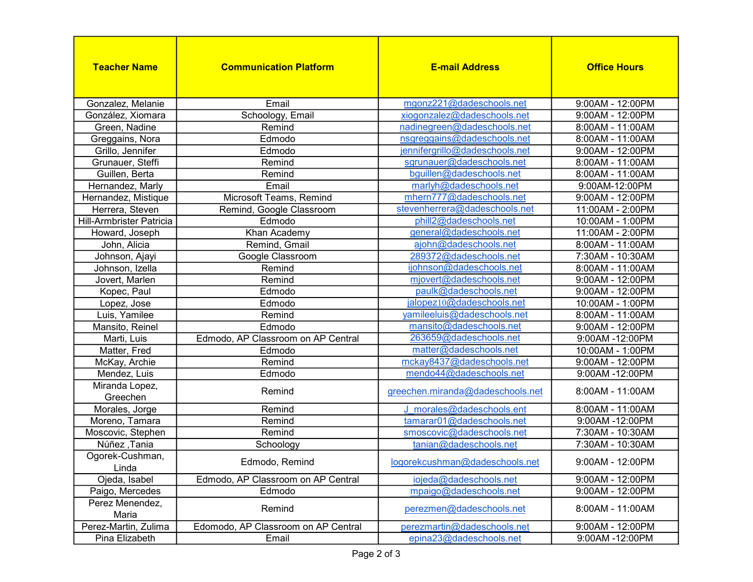| <b>Teacher Name</b>        | <b>Communication Platform</b>       | <b>E-mail Address</b>            | <b>Office Hours</b> |
|----------------------------|-------------------------------------|----------------------------------|---------------------|
| Gonzalez, Melanie          | Email                               | mgonz221@dadeschools.net         | 9:00AM - 12:00PM    |
| González, Xiomara          | Schoology, Email                    | xiogonzalez@dadeschools.net      | 9:00AM - 12:00PM    |
| Green, Nadine              | Remind                              | nadinegreen@dadeschools.net      | 8:00AM - 11:00AM    |
| Greggains, Nora            | Edmodo                              | nsgreggains@dadeschools.net      | 8:00AM - 11:00AM    |
| Grillo, Jennifer           | Edmodo                              | jennifergrillo@dadeschools.net   | 9:00AM - 12:00PM    |
| Grunauer, Steffi           | Remind                              | sqrunauer@dadeschools.net        | 8:00AM - 11:00AM    |
| Guillen, Berta             | Remind                              | bguillen@dadeschools.net         | 8:00AM - 11:00AM    |
| Hernandez, Marly           | Email                               | marlyh@dadeschools.net           | 9:00AM-12:00PM      |
| Hernandez, Mistique        | Microsoft Teams, Remind             | mhern777@dadeschools.net         | 9:00AM - 12:00PM    |
| Herrera, Steven            | Remind, Google Classroom            | stevenherrera@dadeschools.net    | 11:00AM - 2:00PM    |
| Hill-Armbrister Patricia   | Edmodo                              | phill2@dadeschools.net           | 10:00AM - 1:00PM    |
| Howard, Joseph             | Khan Academy                        | general@dadeschools.net          | 11:00AM - 2:00PM    |
| John, Alicia               | Remind, Gmail                       | ajohn@dadeschools.net            | 8:00AM - 11:00AM    |
| Johnson, Ajayi             | Google Classroom                    | 289372@dadeschools.net           | 7:30AM - 10:30AM    |
| Johnson, Izella            | Remind                              | ijohnson@dadeschools.net         | 8:00AM - 11:00AM    |
| Jovert, Marlen             | Remind                              | mjovert@dadeschools.net          | 9:00AM - 12:00PM    |
| Kopec, Paul                | Edmodo                              | paulk@dadeschools.net            | 9:00AM - 12:00PM    |
| Lopez, Jose                | Edmodo                              | jalopez10@dadeschools.net        | 10:00AM - 1:00PM    |
| Luis, Yamilee              | Remind                              | yamileeluis@dadeschools.net      | 8:00AM - 11:00AM    |
| Mansito, Reinel            | Edmodo                              | mansito@dadeschools.net          | 9:00AM - 12:00PM    |
| Marti, Luis                | Edmodo, AP Classroom on AP Central  | 263659@dadeschools.net           | 9:00AM -12:00PM     |
| Matter, Fred               | Edmodo                              | matter@dadeschools.net           | 10:00AM - 1:00PM    |
| McKay, Archie              | Remind                              | mckay8437@dadeschools.net        | 9:00AM - 12:00PM    |
| Mendez, Luis               | Edmodo                              | mendo44@dadeschools.net          | 9:00AM -12:00PM     |
| Miranda Lopez,<br>Greechen | Remind                              | greechen.miranda@dadeschools.net | 8:00AM - 11:00AM    |
| Morales, Jorge             | Remind                              | J morales@dadeschools.ent        | 8:00AM - 11:00AM    |
| Moreno, Tamara             | Remind                              | tamarar01@dadeschools.net        | 9:00AM -12:00PM     |
| Moscovic, Stephen          | Remind                              | smoscovic@dadeschools.net        | 7:30AM - 10:30AM    |
| Núñez, Tania               | Schoology                           | tanian@dadeschools.net           | 7:30AM - 10:30AM    |
| Ogorek-Cushman,<br>Linda   | Edmodo, Remind                      | logorekcushman@dadeschools.net   | 9:00AM - 12:00PM    |
| Ojeda, Isabel              | Edmodo, AP Classroom on AP Central  | iojeda@dadeschools.net           | 9:00AM - 12:00PM    |
| Paigo, Mercedes            | Edmodo                              | mpaigo@dadeschools.net           | 9:00AM - 12:00PM    |
| Perez Menendez,<br>Maria   | Remind                              | perezmen@dadeschools.net         | 8:00AM - 11:00AM    |
| Perez-Martin, Zulima       | Edomodo, AP Classroom on AP Central | perezmartin@dadeschools.net      | 9:00AM - 12:00PM    |
| Pina Elizabeth             | Email                               | epina23@dadeschools.net          | 9:00AM -12:00PM     |